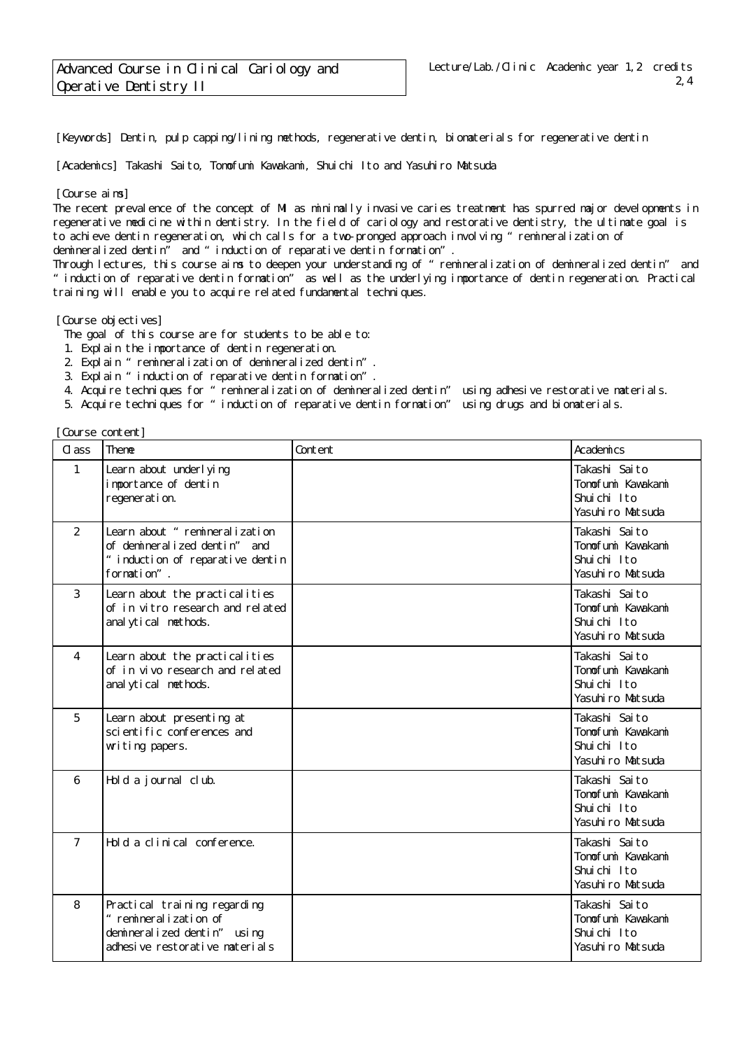[Keywords] Dentin, pulp capping/lining methods, regenerative dentin, biomaterials for regenerative dentin

[Academics] Takashi Saito, Tomofumi Kavakami, Shuichi Ito and Yasuhiro Matsuda

## [Course aims]

The recent prevalence of the concept of MI as minimally invasive caries treatment has spurred major developments in regenerative medicine within dentistry. In the field of cariology and restorative dentistry, the ultimate goal is to achieve dentin regeneration, which calls for a two-pronged approach involving "remineralization of demineralized dentin" and "induction of reparative dentin formation".

Through lectures, this course aims to deepen your understanding of "remineralization of demineralized dentin" and "induction of reparative dentin formation" as well as the underlying importance of dentin regeneration. Practical training will enable you to acquire related fundamental techniques.

## [Course objectives]

The goal of this course are for students to be able to:

- 1. Explain the importance of dentin regeneration.
- 2. Explain "remineralization of demineralized dentin".
- 3. Explain "induction of reparative dentin formation".
- 4. Acquire techniques for "remineralization of demineralized dentin" using adhesive restorative materials.
- 5. Acquire techniques for "induction of reparative dentin formation" using drugs and biomaterials.

| Cl ass         | Theme                                                                                                                  | Content | Academics                                                              |
|----------------|------------------------------------------------------------------------------------------------------------------------|---------|------------------------------------------------------------------------|
| 1              | Learn about underl ying<br>importance of dentin<br>regeneration.                                                       |         | Takashi Saito<br>Tonofuni Kavakani<br>Shuichi Ito<br>Yasuhi ro Matsuda |
| 2              | Learn about " remineralization<br>of demineralized dentin" and<br>" induction of reparative dentin<br>formation".      |         | Takashi Saito<br>Tomofumi Kawakami<br>Shuichi Ito<br>Yasuhi ro Matsuda |
| 3              | Learn about the practical ities<br>of in vitro research and related<br>anal ytical methods.                            |         | Takashi Saito<br>Tonofuni Kawakani<br>Shuichi Ito<br>Yasuhi ro Matsuda |
| 4              | Learn about the practicalities<br>of in vivo research and related<br>anal ytical methods.                              |         | Takashi Saito<br>Tomofumi Kawakami<br>Shuichi Ito<br>Yasuhi ro Matsuda |
| 5              | Learn about presenting at<br>sci enti fi c conferences and<br>witing papers.                                           |         | Takashi Saito<br>Tomofumi Kawakami<br>Shuichi Ito<br>Yasuhi ro Matsuda |
| 6              | Hold a journal club.                                                                                                   |         | Takashi Saito<br>Tomofumi Kawakami<br>Shuichi Ito<br>Yasuhiro Matsuda  |
| $\overline{7}$ | Hold a clinical conference.                                                                                            |         | Takashi Saito<br>Tonofumi Kawakami<br>Shuichi Ito<br>Yasuhi ro Matsuda |
| 8              | Practical training regarding<br>" remineralization of<br>demineralized dentin" using<br>adhesive restorative materials |         | Takashi Saito<br>Tomofumi Kawakami<br>Shuichi Ito<br>Yasuhi ro Matsuda |